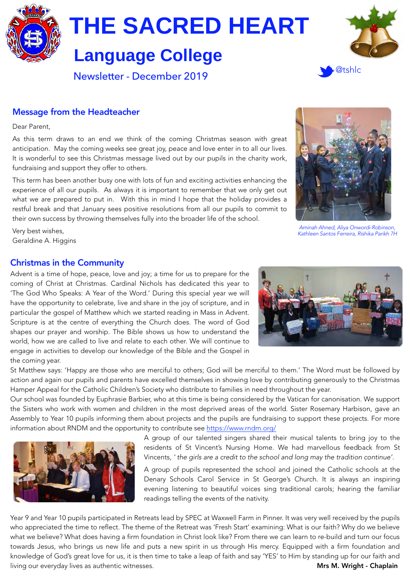

# **Language College**



Newsletter - December 2019

# @tshlc

# Message from the Headteacher

Dear Parent,

As this term draws to an end we think of the coming Christmas season with great anticipation. May the coming weeks see great joy, peace and love enter in to all our lives. It is wonderful to see this Christmas message lived out by our pupils in the charity work, fundraising and support they offer to others.

This term has been another busy one with lots of fun and exciting activities enhancing the experience of all our pupils. As always it is important to remember that we only get out what we are prepared to put in. With this in mind I hope that the holiday provides a restful break and that January sees positive resolutions from all our pupils to commit to their own success by throwing themselves fully into the broader life of the school.



*Aminah Ahned, Aliya Onwordi-Robinson, Kathleen Santos Ferreira, Rishika Parikh 7H*

Very best wishes, Geraldine A. Higgins

#### Christmas in the Community

Advent is a time of hope, peace, love and joy; a time for us to prepare for the coming of Christ at Christmas. Cardinal Nichols has dedicated this year to 'The God Who Speaks: A Year of the Word.' During this special year we will have the opportunity to celebrate, live and share in the joy of scripture, and in particular the gospel of Matthew which we started reading in Mass in Advent. Scripture is at the centre of everything the Church does. The word of God shapes our prayer and worship. The Bible shows us how to understand the world, how we are called to live and relate to each other. We will continue to engage in activities to develop our knowledge of the Bible and the Gospel in the coming year.



St Matthew says: 'Happy are those who are merciful to others; God will be merciful to them.' The Word must be followed by action and again our pupils and parents have excelled themselves in showing love by contributing generously to the Christmas Hamper Appeal for the Catholic Children's Society who distribute to families in need throughout the year.

Our school was founded by Euphrasie Barbier, who at this time is being considered by the Vatican for canonisation. We support the Sisters who work with women and children in the most deprived areas of the world. Sister Rosemary Harbison, gave an Assembly to Year 10 pupils informing them about projects and the pupils are fundraising to support these projects. For more information about RNDM and the opportunity to contribute see <https://www.rndm.org/>



A group of our talented singers shared their musical talents to bring joy to the residents of St Vincent's Nursing Home. We had marvellous feedback from St Vincents, *' the girls are a credit to the school and long may the tradition continue'*.

A group of pupils represented the school and joined the Catholic schools at the Denary Schools Carol Service in St George's Church. It is always an inspiring evening listening to beautiful voices sing traditional carols; hearing the familiar readings telling the events of the nativity.

Year 9 and Year 10 pupils participated in Retreats lead by SPEC at Waxwell Farm in Pinner. It was very well received by the pupils who appreciated the time to reflect. The theme of the Retreat was 'Fresh Start' examining: What is our faith? Why do we believe what we believe? What does having a firm foundation in Christ look like? From there we can learn to re-build and turn our focus towards Jesus, who brings us new life and puts a new spirit in us through His mercy. Equipped with a firm foundation and knowledge of God's great love for us, it is then time to take a leap of faith and say 'YES' to Him by standing up for our faith and living our everyday lives as authentic witnesses. The matrix of the matrix of the matrix of the Mrs M. Wright - Chaplain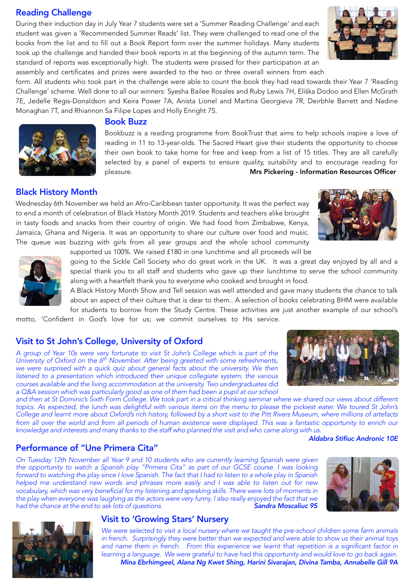# Reading Challenge

During their induction day in July Year 7 students were set a 'Summer Reading Challenge' and each student was given a 'Recommended Summer Reads' list. They were challenged to read one of the books from the list and to fill out a Book Report form over the summer holidays. Many students took up the challenge and handed their book reports in at the beginning of the autumn term. The standard of reports was exceptionally high. The students were praised for their participation at an assembly and certificates and prizes were awarded to the two or three overall winners from each





#### Book Buzz

Bookbuzz is a reading programme from BookTrust that aims to help schools inspire a love of reading in 11 to 13-year-olds. The Sacred Heart give their students the opportunity to choose their own book to take home for free and keep from a [list of 15 titles](https://www.booktrust.org.uk/what-we-do/programmes-and-campaigns/bookbuzz/students/bookbuzz-books/). They are all carefully selected by a panel of experts to ensure quality, suitability and to encourage reading for pleasure. Mrs Pickering - Information Resources Officer

# Black History Month

Wednesday 6th November we held an Afro-Caribbean taster opportunity. It was the perfect way to end a month of celebration of Black History Month 2019. Students and teachers alike brought in tasty foods and snacks from their country of origin. We had food from Zimbabwe, Kenya, Jamaica, Ghana and Nigeria. It was an opportunity to share our culture over food and music. The queue was buzzing with girls from all year groups and the whole school community

supported us 100%. We raised £180 in one lunchtime and all proceeds will be



going to the Sickle Cell Society who do great work in the UK. It was a great day enjoyed by all and a special thank you to all staff and students who gave up their lunchtime to serve the school community along with a heartfelt thank you to everyone who cooked and brought in food.

A Black History Month Show and Tell session was well attended and gave many students the chance to talk about an aspect of their culture that is dear to them.. A selection of books celebrating BHM were available for students to borrow from the Study Centre. These activities are just another example of our school's

motto, 'Confident in God's love for us; we commit ourselves to His service.

#### Visit to St John's College, University of Oxford

*A group of Year 10s were very fortunate to visit St John's College which is part of the University of Oxford on the 6<sup>th</sup> November. After being greeted with some refreshments, we were surprised with a quick quiz about general facts about the university. We then* listened to a presentation which introduced their unique collegiate system, the various *courses available and the living accommodation at the university. Two undergraduates did a Q&A session which was particularly good as one of them had been a pupil at our school* 

*and then at St Dominic's Sixth Form College. We took part in a critical thinking seminar where we shared our views about different topics. As expected, the lunch was delightful with various items on the menu to please the pickiest eater. We toured St John's College and learnt more about Oxford's rich history, followed by a short visit to the Pitt Rivers Museum, where millions of artefacts*  from all over the world and from all periods of human existence were displayed. This was a fantastic opportunity to enrich our *knowledge and interests and many thanks to the staff who planned the visit and who came along with us.* 

 *Aldabra Stifiuc Andronic 10E*

# Performance of "Une Primera Cita"

*On Tuesday 12th November all Year 9 and 10 students who are currently learning Spanish were given the opportunity to watch a Spanish play "Primera Cita" as part of our GCSE course. I was looking forward to watching the play since I love Spanish. The fact that I had to listen to a whole play in Spanish helped me understand new words and phrases more easily and I was able to listen out for new vocabulary, which was very beneficial for my listening and speaking skills. There were lots of moments in the play when everyone was laughing as the actors were very funny. I also really enjoyed the fact that we had the chance at the end to ask lots of questions.* 





#### Visit to 'Growing Stars' Nursery

*We were selected to visit a local nursery where we taught the pre-school children some farm animals in french. Surprisingly they were better than we expected and were able to show us their animal toys*  and name them in french. From this experience we learnt that repetition is a significant factor in *learning a language. We were grateful to have had this opportunity and would love to go back again. Mina Ebrhimgeel, Alana Ng Kwet Shing, Harini Sivarajan, Divina Tamba, Annabelle Gill 9A*



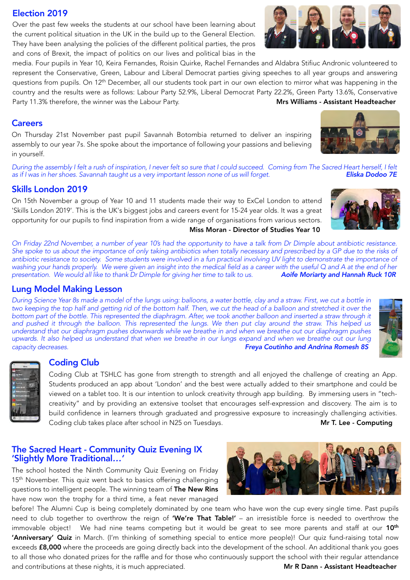#### Election 2019

Over the past few weeks the students at our school have been learning about the current political situation in the UK in the build up to the General Election. They have been analysing the policies of the different political parties, the pros and cons of Brexit, the impact of politics on our lives and political bias in the

media. Four pupils in Year 10, Keira Fernandes, Roisin Quirke, Rachel Fernandes and Aldabra Stifiuc Andronic volunteered to represent the Conservative, Green, Labour and Liberal Democrat parties giving speeches to all year groups and answering questions from pupils. On 12<sup>th</sup> December, all our students took part in our own election to mirror what was happening in the country and the results were as follows: Labour Party 52.9%, Liberal Democrat Party 22.2%, Green Party 13.6%, Conservative Party 11.3% therefore, the winner was the Labour Party. Musical Mrs Williams - Assistant Headteacher

#### **Careers**

On Thursday 21st November past pupil Savannah Botombia returned to deliver an inspiring assembly to our year 7s. She spoke about the importance of following your passions and believing in yourself.

*During the assembly I felt a rush of inspiration, I never felt so sure that I could succeed. Coming from The Sacred Heart herself, I felt as if I was in her shoes. Savannah taught us a very important lesson none of us will forget. Eliska Dodoo 7E*

# Skills London 2019

On 15th November a group of Year 10 and 11 students made their way to ExCel London to attend 'Skills London 2019'. This is the UK's biggest jobs and careers event for 15-24 year olds. It was a great opportunity for our pupils to find inspiration from a wide range of organisations from various sectors. Miss Moran - Director of Studies Year 10

*On Friday 22nd November, a number of year 10's had the opportunity to have a talk from Dr Dimple about antibiotic resistance. She spoke to us about the importance of only taking antibiotics when totally necessary and prescribed by a GP due to the risks of antibiotic resistance to society. Some students were involved in a fun practical involving UV light to demonstrate the importance of*  washing your hands properly. We were given an insight into the medical field as a career with the useful Q and A at the end of her<br>presentation. We would all like to thank Dr Dimple for giving her time to talk to us. **Aoif** *presentation. We would all like to thank Dr Dimple for giving her time to talk to us.* 

#### Lung Model Making Lesson

*During Science Year 8s made a model of the lungs using: balloons, a water bottle, clay and a straw. First, we cut a bottle in*  two keeping the top half and getting rid of the bottom half. Then, we cut the head of a balloon and stretched it over the *bottom part of the bottle. This represented the diaphragm. After, we took another balloon and inserted a straw through it and pushed it through the balloon. This represented the lungs. We then put clay around the straw. This helped us understand that our diaphragm pushes downwards while we breathe in and when we breathe out our diaphragm pushes*  upwards. It also helped us understand that when we breathe in our lungs expand and when we breathe out our lung *capacity decreases. Freya Coutinho and Andrina Romesh 8S* 

#### Coding Club

Coding Club at TSHLC has gone from strength to strength and all enjoyed the challenge of creating an App. Students produced an app about 'London' and the best were actually added to their smartphone and could be viewed on a tablet too. It is our intention to unlock creativity through app building. By immersing users in "techcreativity" and by providing an extensive toolset that encourages self-expression and discovery. The aim is to build confidence in learners through graduated and progressive exposure to increasingly challenging activities. Coding club takes place after school in N25 on Tuesdays. Mr T. Lee - Computing

#### The Sacred Heart - Community Quiz Evening IX 'Slightly More Traditional*…'*

The school hosted the Ninth Community Quiz Evening on Friday 15<sup>th</sup> November. This quiz went back to basics offering challenging questions to intelligent people. The winning team of The New Rins have now won the trophy for a third time, a feat never managed

before! The Alumni Cup is being completely dominated by one team who have won the cup every single time. Past pupils need to club together to overthrow the reign of 'We're That Table!' - an irresistible force is needed to overthrow the immovable object! We had nine teams competing but it would be great to see more parents and staff at our 10<sup>th</sup> 'Anniversary' Quiz in March. (I'm thinking of something special to entice more people)! Our quiz fund-raising total now exceeds £8,000 where the proceeds are going directly back into the development of the school. An additional thank you goes to all those who donated prizes for the raffle and for those who continuously support the school with their regular attendance and contributions at these nights, it is much appreciated. **Mr R Dann - Assistant Headteacher**